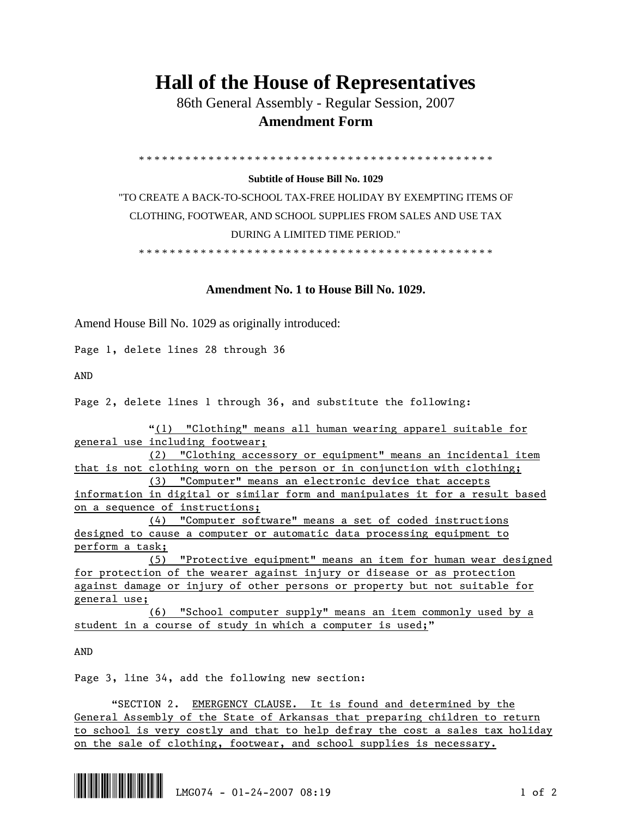## **Hall of the House of Representatives**

 86th General Assembly - Regular Session, 2007  **Amendment Form** 

\* \* \* \* \* \* \* \* \* \* \* \* \* \* \* \* \* \* \* \* \* \* \* \* \* \* \* \* \* \* \* \* \* \* \* \* \* \* \* \* \* \* \* \* \* \*

## **Subtitle of House Bill No. 1029**

"TO CREATE A BACK-TO-SCHOOL TAX-FREE HOLIDAY BY EXEMPTING ITEMS OF CLOTHING, FOOTWEAR, AND SCHOOL SUPPLIES FROM SALES AND USE TAX DURING A LIMITED TIME PERIOD."

\* \* \* \* \* \* \* \* \* \* \* \* \* \* \* \* \* \* \* \* \* \* \* \* \* \* \* \* \* \* \* \* \* \* \* \* \* \* \* \* \* \* \* \* \* \*

## **Amendment No. 1 to House Bill No. 1029.**

Amend House Bill No. 1029 as originally introduced:

Page 1, delete lines 28 through 36

AND

Page 2, delete lines 1 through 36, and substitute the following:

 "(1) "Clothing" means all human wearing apparel suitable for general use including footwear;

 (2) "Clothing accessory or equipment" means an incidental item that is not clothing worn on the person or in conjunction with clothing;

 (3) "Computer" means an electronic device that accepts information in digital or similar form and manipulates it for a result based on a sequence of instructions;

 (4) "Computer software" means a set of coded instructions designed to cause a computer or automatic data processing equipment to perform a task;

 (5) "Protective equipment" means an item for human wear designed for protection of the wearer against injury or disease or as protection against damage or injury of other persons or property but not suitable for general use;

 (6) "School computer supply" means an item commonly used by a student in a course of study in which a computer is used;"

AND

Page 3, line 34, add the following new section:

 "SECTION 2. EMERGENCY CLAUSE. It is found and determined by the General Assembly of the State of Arkansas that preparing children to return to school is very costly and that to help defray the cost a sales tax holiday on the sale of clothing, footwear, and school supplies is necessary.